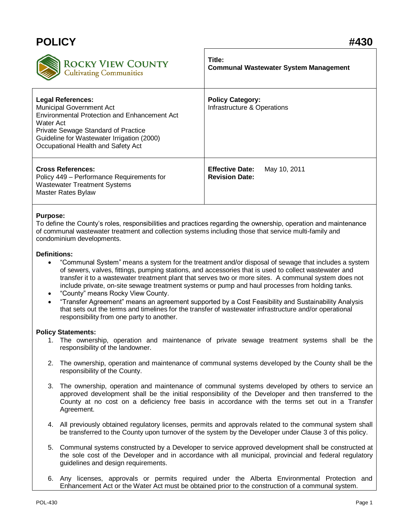| <b>POLICY</b>                                                                                                                                                                                                                                                     | #430                                                            |
|-------------------------------------------------------------------------------------------------------------------------------------------------------------------------------------------------------------------------------------------------------------------|-----------------------------------------------------------------|
| <b>ROCKY VIEW COUNTY</b><br>Cultivating Communities                                                                                                                                                                                                               | Title:<br><b>Communal Wastewater System Management</b>          |
| <b>Legal References:</b><br><b>Municipal Government Act</b><br><b>Environmental Protection and Enhancement Act</b><br>Water Act<br><b>Private Sewage Standard of Practice</b><br>Guideline for Wastewater Irrigation (2000)<br>Occupational Health and Safety Act | <b>Policy Category:</b><br>Infrastructure & Operations          |
| <b>Cross References:</b><br>Policy 449 – Performance Requirements for<br><b>Wastewater Treatment Systems</b><br><b>Master Rates Bylaw</b>                                                                                                                         | <b>Effective Date:</b><br>May 10, 2011<br><b>Revision Date:</b> |

## **Purpose:**

To define the County's roles, responsibilities and practices regarding the ownership, operation and maintenance of communal wastewater treatment and collection systems including those that service multi-family and condominium developments.

## **Definitions:**

- "Communal System" means a system for the treatment and/or disposal of sewage that includes a system of sewers, valves, fittings, pumping stations, and accessories that is used to collect wastewater and transfer it to a wastewater treatment plant that serves two or more sites. A communal system does not include private, on-site sewage treatment systems or pump and haul processes from holding tanks.
- "County" means Rocky View County.
- "Transfer Agreement" means an agreement supported by a Cost Feasibility and Sustainability Analysis that sets out the terms and timelines for the transfer of wastewater infrastructure and/or operational responsibility from one party to another.

## **Policy Statements:**

- 1. The ownership, operation and maintenance of private sewage treatment systems shall be the responsibility of the landowner.
- 2. The ownership, operation and maintenance of communal systems developed by the County shall be the responsibility of the County.
- 3. The ownership, operation and maintenance of communal systems developed by others to service an approved development shall be the initial responsibility of the Developer and then transferred to the County at no cost on a deficiency free basis in accordance with the terms set out in a Transfer Agreement.
- 4. All previously obtained regulatory licenses, permits and approvals related to the communal system shall be transferred to the County upon turnover of the system by the Developer under Clause 3 of this policy.
- 5. Communal systems constructed by a Developer to service approved development shall be constructed at the sole cost of the Developer and in accordance with all municipal, provincial and federal regulatory guidelines and design requirements.
- 6. Any licenses, approvals or permits required under the Alberta Environmental Protection and Enhancement Act or the Water Act must be obtained prior to the construction of a communal system.